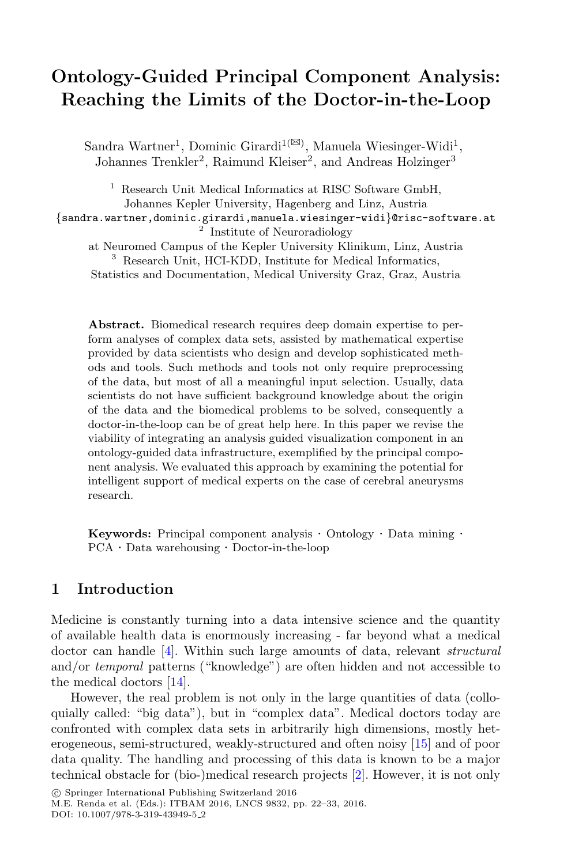# **Ontology-Guided Principal Component Analysis: Reaching the Limits of the Doctor-in-the-Loop**

Sandra Wartner<sup>1</sup>, Dominic Girardi<sup>1( $\boxtimes$ )</sup>, Manuela Wiesinger-Widi<sup>1</sup>, Johannes Trenkler<sup>2</sup>, Raimund Kleiser<sup>2</sup>, and Andreas Holzinger<sup>3</sup>

<sup>1</sup> Research Unit Medical Informatics at RISC Software GmbH,

Johannes Kepler University, Hagenberg and Linz, Austria

*{*sandra.wartner,dominic.girardi,manuela.wiesinger-widi*}*@risc-software.at <sup>2</sup> Institute of Neuroradiology

at Neuromed Campus of the Kepler University Klinikum, Linz, Austria <sup>3</sup> Research Unit, HCI-KDD, Institute for Medical Informatics, Statistics and Documentation, Medical University Graz, Graz, Austria

**Abstract.** Biomedical research requires deep domain expertise to perform analyses of complex data sets, assisted by mathematical expertise provided by data scientists who design and develop sophisticated methods and tools. Such methods and tools not only require preprocessing of the data, but most of all a meaningful input selection. Usually, data scientists do not have sufficient background knowledge about the origin of the data and the biomedical problems to be solved, consequently a doctor-in-the-loop can be of great help here. In this paper we revise the viability of integrating an analysis guided visualization component in an ontology-guided data infrastructure, exemplified by the principal component analysis. We evaluated this approach by examining the potential for intelligent support of medical experts on the case of cerebral aneurysms research.

**Keywords:** Principal component analysis *·* Ontology *·* Data mining *·* PCA *·* Data warehousing *·* Doctor-in-the-loop

#### **1 Introduction**

Medicine is constantly turning into a data intensive science and the quantity of available health data is enormously increasing - far beyond what a medical doctor can handle [\[4\]](#page-9-0). Within such large amounts of data, relevant *structural* and/or *temporal* patterns ("knowledge") are often hidden and not accessible to the medical doctors [\[14](#page-10-0)].

However, the real problem is not only in the large quantities of data (colloquially called: "big data"), but in "complex data". Medical doctors today are confronted with complex data sets in arbitrarily high dimensions, mostly heterogeneous, semi-structured, weakly-structured and often noisy [\[15](#page-10-1)] and of poor data quality. The handling and processing of this data is known to be a major technical obstacle for (bio-)medical research projects [\[2](#page-9-1)]. However, it is not only

M.E. Renda et al. (Eds.): ITBAM 2016, LNCS 9832, pp. 22–33, 2016.

DOI: 10.1007/978-3-319-43949-5 2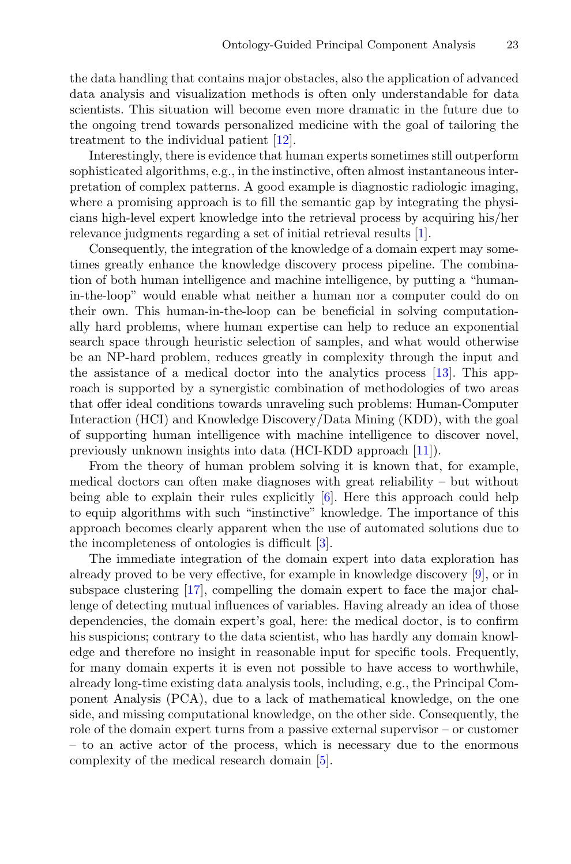the data handling that contains major obstacles, also the application of advanced data analysis and visualization methods is often only understandable for data scientists. This situation will become even more dramatic in the future due to the ongoing trend towards personalized medicine with the goal of tailoring the treatment to the individual patient [\[12\]](#page-10-2).

Interestingly, there is evidence that human experts sometimes still outperform sophisticated algorithms, e.g., in the instinctive, often almost instantaneous interpretation of complex patterns. A good example is diagnostic radiologic imaging, where a promising approach is to fill the semantic gap by integrating the physicians high-level expert knowledge into the retrieval process by acquiring his/her relevance judgments regarding a set of initial retrieval results [\[1\]](#page-9-2).

Consequently, the integration of the knowledge of a domain expert may sometimes greatly enhance the knowledge discovery process pipeline. The combination of both human intelligence and machine intelligence, by putting a "humanin-the-loop" would enable what neither a human nor a computer could do on their own. This human-in-the-loop can be beneficial in solving computationally hard problems, where human expertise can help to reduce an exponential search space through heuristic selection of samples, and what would otherwise be an NP-hard problem, reduces greatly in complexity through the input and the assistance of a medical doctor into the analytics process [\[13\]](#page-10-3). This approach is supported by a synergistic combination of methodologies of two areas that offer ideal conditions towards unraveling such problems: Human-Computer Interaction (HCI) and Knowledge Discovery/Data Mining (KDD), with the goal of supporting human intelligence with machine intelligence to discover novel, previously unknown insights into data (HCI-KDD approach [\[11\]](#page-10-4)).

From the theory of human problem solving it is known that, for example, medical doctors can often make diagnoses with great reliability – but without being able to explain their rules explicitly [\[6](#page-9-3)]. Here this approach could help to equip algorithms with such "instinctive" knowledge. The importance of this approach becomes clearly apparent when the use of automated solutions due to the incompleteness of ontologies is difficult [\[3\]](#page-9-4).

The immediate integration of the domain expert into data exploration has already proved to be very effective, for example in knowledge discovery [\[9\]](#page-9-5), or in subspace clustering [\[17](#page-10-5)], compelling the domain expert to face the major challenge of detecting mutual influences of variables. Having already an idea of those dependencies, the domain expert's goal, here: the medical doctor, is to confirm his suspicions; contrary to the data scientist, who has hardly any domain knowledge and therefore no insight in reasonable input for specific tools. Frequently, for many domain experts it is even not possible to have access to worthwhile, already long-time existing data analysis tools, including, e.g., the Principal Component Analysis (PCA), due to a lack of mathematical knowledge, on the one side, and missing computational knowledge, on the other side. Consequently, the role of the domain expert turns from a passive external supervisor – or customer – to an active actor of the process, which is necessary due to the enormous complexity of the medical research domain [\[5\]](#page-9-6).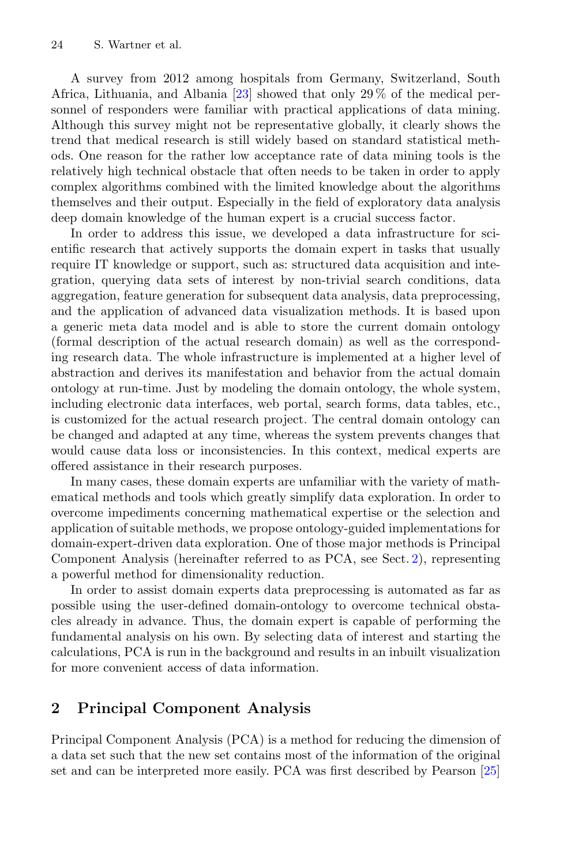A survey from 2012 among hospitals from Germany, Switzerland, South Africa, Lithuania, and Albania [\[23\]](#page-10-6) showed that only 29 % of the medical personnel of responders were familiar with practical applications of data mining. Although this survey might not be representative globally, it clearly shows the trend that medical research is still widely based on standard statistical methods. One reason for the rather low acceptance rate of data mining tools is the relatively high technical obstacle that often needs to be taken in order to apply complex algorithms combined with the limited knowledge about the algorithms themselves and their output. Especially in the field of exploratory data analysis deep domain knowledge of the human expert is a crucial success factor.

In order to address this issue, we developed a data infrastructure for scientific research that actively supports the domain expert in tasks that usually require IT knowledge or support, such as: structured data acquisition and integration, querying data sets of interest by non-trivial search conditions, data aggregation, feature generation for subsequent data analysis, data preprocessing, and the application of advanced data visualization methods. It is based upon a generic meta data model and is able to store the current domain ontology (formal description of the actual research domain) as well as the corresponding research data. The whole infrastructure is implemented at a higher level of abstraction and derives its manifestation and behavior from the actual domain ontology at run-time. Just by modeling the domain ontology, the whole system, including electronic data interfaces, web portal, search forms, data tables, etc., is customized for the actual research project. The central domain ontology can be changed and adapted at any time, whereas the system prevents changes that would cause data loss or inconsistencies. In this context, medical experts are offered assistance in their research purposes.

In many cases, these domain experts are unfamiliar with the variety of mathematical methods and tools which greatly simplify data exploration. In order to overcome impediments concerning mathematical expertise or the selection and application of suitable methods, we propose ontology-guided implementations for domain-expert-driven data exploration. One of those major methods is Principal Component Analysis (hereinafter referred to as PCA, see Sect. [2\)](#page-2-0), representing a powerful method for dimensionality reduction.

In order to assist domain experts data preprocessing is automated as far as possible using the user-defined domain-ontology to overcome technical obstacles already in advance. Thus, the domain expert is capable of performing the fundamental analysis on his own. By selecting data of interest and starting the calculations, PCA is run in the background and results in an inbuilt visualization for more convenient access of data information.

# <span id="page-2-0"></span>**2 Principal Component Analysis**

Principal Component Analysis (PCA) is a method for reducing the dimension of a data set such that the new set contains most of the information of the original set and can be interpreted more easily. PCA was first described by Pearson [\[25](#page-10-7)]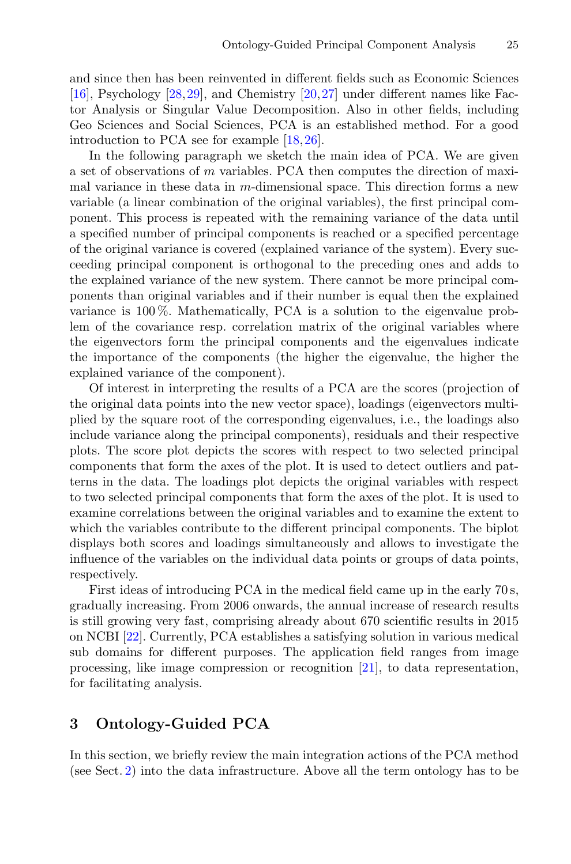and since then has been reinvented in different fields such as Economic Sciences [\[16](#page-10-8)], Psychology [\[28](#page-10-9),[29\]](#page-10-10), and Chemistry [\[20,](#page-10-11)[27\]](#page-10-12) under different names like Factor Analysis or Singular Value Decomposition. Also in other fields, including Geo Sciences and Social Sciences, PCA is an established method. For a good introduction to PCA see for example [\[18](#page-10-13)[,26](#page-10-14)].

In the following paragraph we sketch the main idea of PCA. We are given a set of observations of *m* variables. PCA then computes the direction of maximal variance in these data in *m*-dimensional space. This direction forms a new variable (a linear combination of the original variables), the first principal component. This process is repeated with the remaining variance of the data until a specified number of principal components is reached or a specified percentage of the original variance is covered (explained variance of the system). Every succeeding principal component is orthogonal to the preceding ones and adds to the explained variance of the new system. There cannot be more principal components than original variables and if their number is equal then the explained variance is 100 %. Mathematically, PCA is a solution to the eigenvalue problem of the covariance resp. correlation matrix of the original variables where the eigenvectors form the principal components and the eigenvalues indicate the importance of the components (the higher the eigenvalue, the higher the explained variance of the component).

Of interest in interpreting the results of a PCA are the scores (projection of the original data points into the new vector space), loadings (eigenvectors multiplied by the square root of the corresponding eigenvalues, i.e., the loadings also include variance along the principal components), residuals and their respective plots. The score plot depicts the scores with respect to two selected principal components that form the axes of the plot. It is used to detect outliers and patterns in the data. The loadings plot depicts the original variables with respect to two selected principal components that form the axes of the plot. It is used to examine correlations between the original variables and to examine the extent to which the variables contribute to the different principal components. The biplot displays both scores and loadings simultaneously and allows to investigate the influence of the variables on the individual data points or groups of data points, respectively.

First ideas of introducing PCA in the medical field came up in the early 70 s, gradually increasing. From 2006 onwards, the annual increase of research results is still growing very fast, comprising already about 670 scientific results in 2015 on NCBI [\[22](#page-10-15)]. Currently, PCA establishes a satisfying solution in various medical sub domains for different purposes. The application field ranges from image processing, like image compression or recognition [\[21\]](#page-10-16), to data representation, for facilitating analysis.

## **3 Ontology-Guided PCA**

In this section, we briefly review the main integration actions of the PCA method (see Sect. [2\)](#page-2-0) into the data infrastructure. Above all the term ontology has to be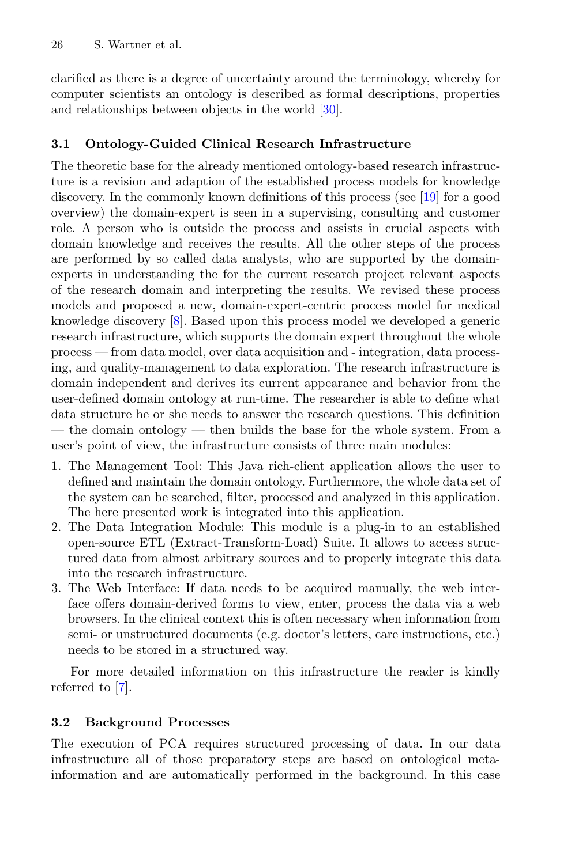clarified as there is a degree of uncertainty around the terminology, whereby for computer scientists an ontology is described as formal descriptions, properties and relationships between objects in the world [\[30\]](#page-11-0).

## **3.1 Ontology-Guided Clinical Research Infrastructure**

The theoretic base for the already mentioned ontology-based research infrastructure is a revision and adaption of the established process models for knowledge discovery. In the commonly known definitions of this process (see [\[19\]](#page-10-17) for a good overview) the domain-expert is seen in a supervising, consulting and customer role. A person who is outside the process and assists in crucial aspects with domain knowledge and receives the results. All the other steps of the process are performed by so called data analysts, who are supported by the domainexperts in understanding the for the current research project relevant aspects of the research domain and interpreting the results. We revised these process models and proposed a new, domain-expert-centric process model for medical knowledge discovery [\[8\]](#page-9-7). Based upon this process model we developed a generic research infrastructure, which supports the domain expert throughout the whole process — from data model, over data acquisition and - integration, data processing, and quality-management to data exploration. The research infrastructure is domain independent and derives its current appearance and behavior from the user-defined domain ontology at run-time. The researcher is able to define what data structure he or she needs to answer the research questions. This definition — the domain ontology — then builds the base for the whole system. From a user's point of view, the infrastructure consists of three main modules:

- 1. The Management Tool: This Java rich-client application allows the user to defined and maintain the domain ontology. Furthermore, the whole data set of the system can be searched, filter, processed and analyzed in this application. The here presented work is integrated into this application.
- 2. The Data Integration Module: This module is a plug-in to an established open-source ETL (Extract-Transform-Load) Suite. It allows to access structured data from almost arbitrary sources and to properly integrate this data into the research infrastructure.
- 3. The Web Interface: If data needs to be acquired manually, the web interface offers domain-derived forms to view, enter, process the data via a web browsers. In the clinical context this is often necessary when information from semi- or unstructured documents (e.g. doctor's letters, care instructions, etc.) needs to be stored in a structured way.

For more detailed information on this infrastructure the reader is kindly referred to [\[7](#page-9-8)].

## **3.2 Background Processes**

The execution of PCA requires structured processing of data. In our data infrastructure all of those preparatory steps are based on ontological metainformation and are automatically performed in the background. In this case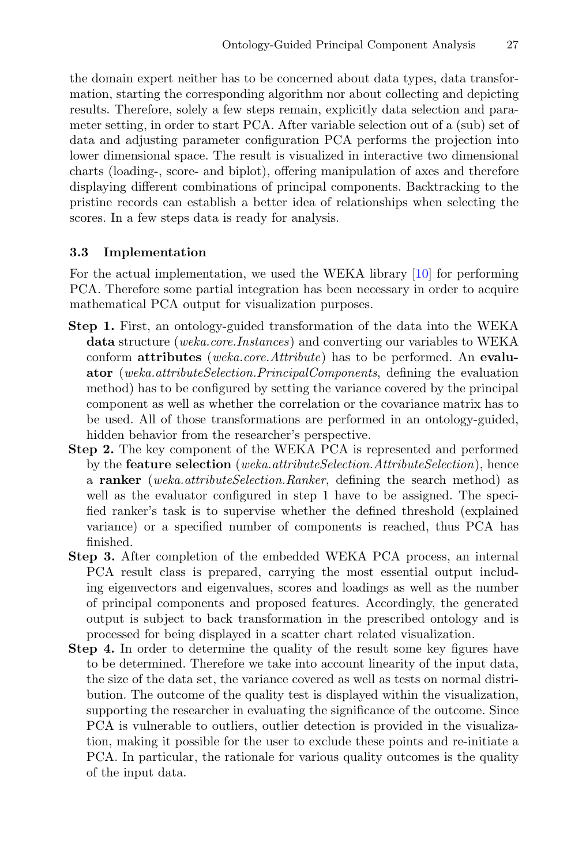the domain expert neither has to be concerned about data types, data transformation, starting the corresponding algorithm nor about collecting and depicting results. Therefore, solely a few steps remain, explicitly data selection and parameter setting, in order to start PCA. After variable selection out of a (sub) set of data and adjusting parameter configuration PCA performs the projection into lower dimensional space. The result is visualized in interactive two dimensional charts (loading-, score- and biplot), offering manipulation of axes and therefore displaying different combinations of principal components. Backtracking to the pristine records can establish a better idea of relationships when selecting the scores. In a few steps data is ready for analysis.

#### **3.3 Implementation**

For the actual implementation, we used the WEKA library [\[10\]](#page-10-18) for performing PCA. Therefore some partial integration has been necessary in order to acquire mathematical PCA output for visualization purposes.

- **Step 1.** First, an ontology-guided transformation of the data into the WEKA **data** structure (*weka.core.Instances*) and converting our variables to WEKA conform **attributes** (*weka.core.Attribute*) has to be performed. An **evaluator** (*weka.attributeSelection.PrincipalComponents*, defining the evaluation method) has to be configured by setting the variance covered by the principal component as well as whether the correlation or the covariance matrix has to be used. All of those transformations are performed in an ontology-guided, hidden behavior from the researcher's perspective.
- **Step 2.** The key component of the WEKA PCA is represented and performed by the **feature selection** (*weka.attributeSelection.AttributeSelection*), hence a **ranker** (*weka.attributeSelection.Ranker*, defining the search method) as well as the evaluator configured in step 1 have to be assigned. The specified ranker's task is to supervise whether the defined threshold (explained variance) or a specified number of components is reached, thus PCA has finished.
- **Step 3.** After completion of the embedded WEKA PCA process, an internal PCA result class is prepared, carrying the most essential output including eigenvectors and eigenvalues, scores and loadings as well as the number of principal components and proposed features. Accordingly, the generated output is subject to back transformation in the prescribed ontology and is processed for being displayed in a scatter chart related visualization.
- **Step 4.** In order to determine the quality of the result some key figures have to be determined. Therefore we take into account linearity of the input data, the size of the data set, the variance covered as well as tests on normal distribution. The outcome of the quality test is displayed within the visualization, supporting the researcher in evaluating the significance of the outcome. Since PCA is vulnerable to outliers, outlier detection is provided in the visualization, making it possible for the user to exclude these points and re-initiate a PCA. In particular, the rationale for various quality outcomes is the quality of the input data.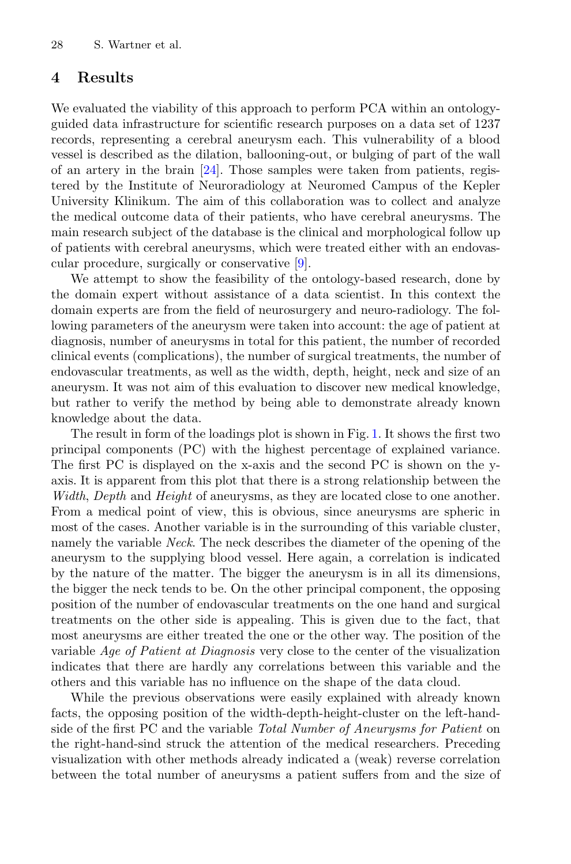#### **4 Results**

We evaluated the viability of this approach to perform PCA within an ontologyguided data infrastructure for scientific research purposes on a data set of 1237 records, representing a cerebral aneurysm each. This vulnerability of a blood vessel is described as the dilation, ballooning-out, or bulging of part of the wall of an artery in the brain [\[24\]](#page-10-19). Those samples were taken from patients, registered by the Institute of Neuroradiology at Neuromed Campus of the Kepler University Klinikum. The aim of this collaboration was to collect and analyze the medical outcome data of their patients, who have cerebral aneurysms. The main research subject of the database is the clinical and morphological follow up of patients with cerebral aneurysms, which were treated either with an endovascular procedure, surgically or conservative [\[9](#page-9-5)].

We attempt to show the feasibility of the ontology-based research, done by the domain expert without assistance of a data scientist. In this context the domain experts are from the field of neurosurgery and neuro-radiology. The following parameters of the aneurysm were taken into account: the age of patient at diagnosis, number of aneurysms in total for this patient, the number of recorded clinical events (complications), the number of surgical treatments, the number of endovascular treatments, as well as the width, depth, height, neck and size of an aneurysm. It was not aim of this evaluation to discover new medical knowledge, but rather to verify the method by being able to demonstrate already known knowledge about the data.

The result in form of the loadings plot is shown in Fig. [1.](#page-7-0) It shows the first two principal components (PC) with the highest percentage of explained variance. The first PC is displayed on the x-axis and the second PC is shown on the yaxis. It is apparent from this plot that there is a strong relationship between the *Width*, *Depth* and *Height* of aneurysms, as they are located close to one another. From a medical point of view, this is obvious, since aneurysms are spheric in most of the cases. Another variable is in the surrounding of this variable cluster, namely the variable *Neck*. The neck describes the diameter of the opening of the aneurysm to the supplying blood vessel. Here again, a correlation is indicated by the nature of the matter. The bigger the aneurysm is in all its dimensions, the bigger the neck tends to be. On the other principal component, the opposing position of the number of endovascular treatments on the one hand and surgical treatments on the other side is appealing. This is given due to the fact, that most aneurysms are either treated the one or the other way. The position of the variable *Age of Patient at Diagnosis* very close to the center of the visualization indicates that there are hardly any correlations between this variable and the others and this variable has no influence on the shape of the data cloud.

While the previous observations were easily explained with already known facts, the opposing position of the width-depth-height-cluster on the left-handside of the first PC and the variable *Total Number of Aneurysms for Patient* on the right-hand-sind struck the attention of the medical researchers. Preceding visualization with other methods already indicated a (weak) reverse correlation between the total number of aneurysms a patient suffers from and the size of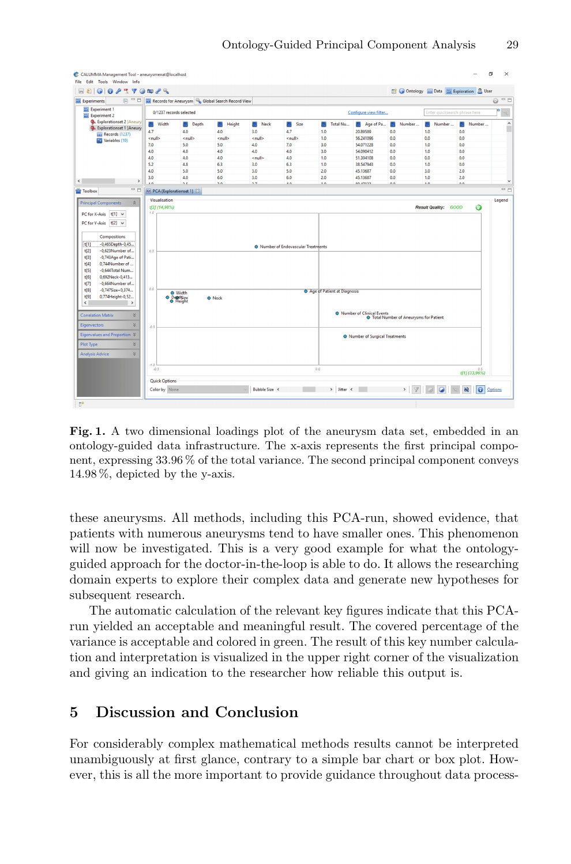

<span id="page-7-0"></span>**Fig. 1.** A two dimensional loadings plot of the aneurysm data set, embedded in an ontology-guided data infrastructure. The x-axis represents the first principal component, expressing 33.96 % of the total variance. The second principal component conveys 14.98 %, depicted by the y-axis.

these aneurysms. All methods, including this PCA-run, showed evidence, that patients with numerous aneurysms tend to have smaller ones. This phenomenon will now be investigated. This is a very good example for what the ontologyguided approach for the doctor-in-the-loop is able to do. It allows the researching domain experts to explore their complex data and generate new hypotheses for subsequent research.

The automatic calculation of the relevant key figures indicate that this PCArun yielded an acceptable and meaningful result. The covered percentage of the variance is acceptable and colored in green. The result of this key number calculation and interpretation is visualized in the upper right corner of the visualization and giving an indication to the researcher how reliable this output is.

# **5 Discussion and Conclusion**

For considerably complex mathematical methods results cannot be interpreted unambiguously at first glance, contrary to a simple bar chart or box plot. However, this is all the more important to provide guidance throughout data process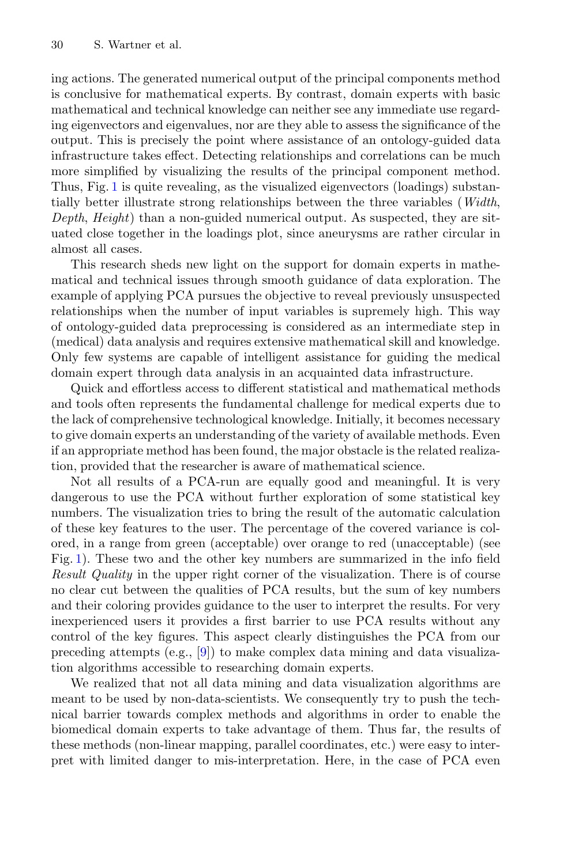ing actions. The generated numerical output of the principal components method is conclusive for mathematical experts. By contrast, domain experts with basic mathematical and technical knowledge can neither see any immediate use regarding eigenvectors and eigenvalues, nor are they able to assess the significance of the output. This is precisely the point where assistance of an ontology-guided data infrastructure takes effect. Detecting relationships and correlations can be much more simplified by visualizing the results of the principal component method. Thus, Fig. [1](#page-7-0) is quite revealing, as the visualized eigenvectors (loadings) substantially better illustrate strong relationships between the three variables (*Width*, *Depth*, *Height*) than a non-guided numerical output. As suspected, they are situated close together in the loadings plot, since aneurysms are rather circular in almost all cases.

This research sheds new light on the support for domain experts in mathematical and technical issues through smooth guidance of data exploration. The example of applying PCA pursues the objective to reveal previously unsuspected relationships when the number of input variables is supremely high. This way of ontology-guided data preprocessing is considered as an intermediate step in (medical) data analysis and requires extensive mathematical skill and knowledge. Only few systems are capable of intelligent assistance for guiding the medical domain expert through data analysis in an acquainted data infrastructure.

Quick and effortless access to different statistical and mathematical methods and tools often represents the fundamental challenge for medical experts due to the lack of comprehensive technological knowledge. Initially, it becomes necessary to give domain experts an understanding of the variety of available methods. Even if an appropriate method has been found, the major obstacle is the related realization, provided that the researcher is aware of mathematical science.

Not all results of a PCA-run are equally good and meaningful. It is very dangerous to use the PCA without further exploration of some statistical key numbers. The visualization tries to bring the result of the automatic calculation of these key features to the user. The percentage of the covered variance is colored, in a range from green (acceptable) over orange to red (unacceptable) (see Fig. [1\)](#page-7-0). These two and the other key numbers are summarized in the info field *Result Quality* in the upper right corner of the visualization. There is of course no clear cut between the qualities of PCA results, but the sum of key numbers and their coloring provides guidance to the user to interpret the results. For very inexperienced users it provides a first barrier to use PCA results without any control of the key figures. This aspect clearly distinguishes the PCA from our preceding attempts (e.g., [\[9](#page-9-5)]) to make complex data mining and data visualization algorithms accessible to researching domain experts.

We realized that not all data mining and data visualization algorithms are meant to be used by non-data-scientists. We consequently try to push the technical barrier towards complex methods and algorithms in order to enable the biomedical domain experts to take advantage of them. Thus far, the results of these methods (non-linear mapping, parallel coordinates, etc.) were easy to interpret with limited danger to mis-interpretation. Here, in the case of PCA even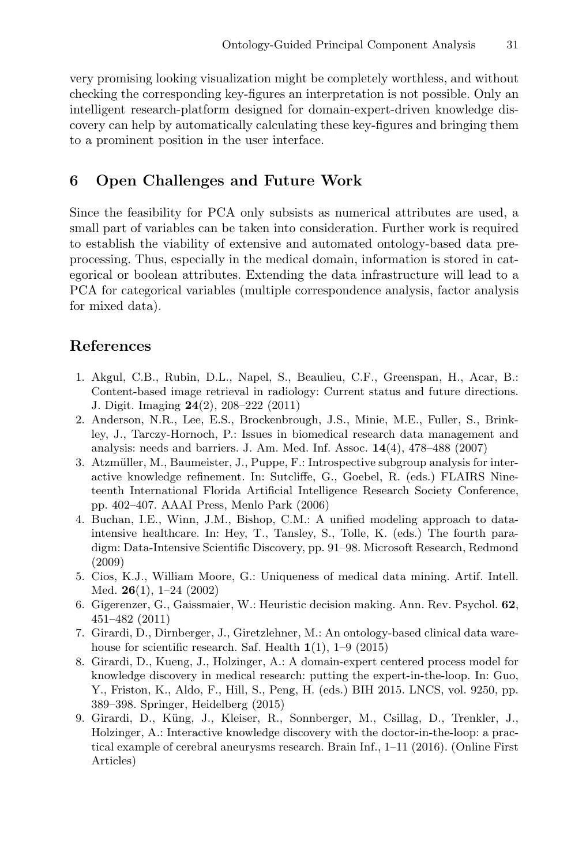very promising looking visualization might be completely worthless, and without checking the corresponding key-figures an interpretation is not possible. Only an intelligent research-platform designed for domain-expert-driven knowledge discovery can help by automatically calculating these key-figures and bringing them to a prominent position in the user interface.

# **6 Open Challenges and Future Work**

Since the feasibility for PCA only subsists as numerical attributes are used, a small part of variables can be taken into consideration. Further work is required to establish the viability of extensive and automated ontology-based data preprocessing. Thus, especially in the medical domain, information is stored in categorical or boolean attributes. Extending the data infrastructure will lead to a PCA for categorical variables (multiple correspondence analysis, factor analysis for mixed data).

# <span id="page-9-2"></span>**References**

- 1. Akgul, C.B., Rubin, D.L., Napel, S., Beaulieu, C.F., Greenspan, H., Acar, B.: Content-based image retrieval in radiology: Current status and future directions. J. Digit. Imaging **24**(2), 208–222 (2011)
- <span id="page-9-1"></span>2. Anderson, N.R., Lee, E.S., Brockenbrough, J.S., Minie, M.E., Fuller, S., Brinkley, J., Tarczy-Hornoch, P.: Issues in biomedical research data management and analysis: needs and barriers. J. Am. Med. Inf. Assoc. **14**(4), 478–488 (2007)
- <span id="page-9-4"></span>3. Atzmüller, M., Baumeister, J., Puppe, F.: Introspective subgroup analysis for interactive knowledge refinement. In: Sutcliffe, G., Goebel, R. (eds.) FLAIRS Nineteenth International Florida Artificial Intelligence Research Society Conference, pp. 402–407. AAAI Press, Menlo Park (2006)
- <span id="page-9-0"></span>4. Buchan, I.E., Winn, J.M., Bishop, C.M.: A unified modeling approach to dataintensive healthcare. In: Hey, T., Tansley, S., Tolle, K. (eds.) The fourth paradigm: Data-Intensive Scientific Discovery, pp. 91–98. Microsoft Research, Redmond (2009)
- <span id="page-9-6"></span>5. Cios, K.J., William Moore, G.: Uniqueness of medical data mining. Artif. Intell. Med. **26**(1), 1–24 (2002)
- <span id="page-9-3"></span>6. Gigerenzer, G., Gaissmaier, W.: Heuristic decision making. Ann. Rev. Psychol. **62**, 451–482 (2011)
- <span id="page-9-8"></span>7. Girardi, D., Dirnberger, J., Giretzlehner, M.: An ontology-based clinical data warehouse for scientific research. Saf. Health **1**(1), 1–9 (2015)
- <span id="page-9-7"></span>8. Girardi, D., Kueng, J., Holzinger, A.: A domain-expert centered process model for knowledge discovery in medical research: putting the expert-in-the-loop. In: Guo, Y., Friston, K., Aldo, F., Hill, S., Peng, H. (eds.) BIH 2015. LNCS, vol. 9250, pp. 389–398. Springer, Heidelberg (2015)
- <span id="page-9-5"></span>9. Girardi, D., K¨ung, J., Kleiser, R., Sonnberger, M., Csillag, D., Trenkler, J., Holzinger, A.: Interactive knowledge discovery with the doctor-in-the-loop: a practical example of cerebral aneurysms research. Brain Inf., 1–11 (2016). (Online First Articles)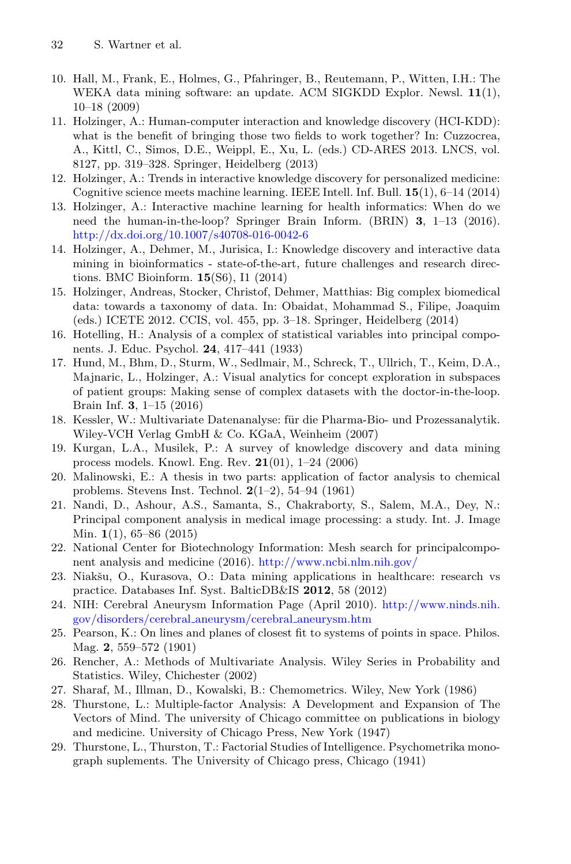- <span id="page-10-18"></span>10. Hall, M., Frank, E., Holmes, G., Pfahringer, B., Reutemann, P., Witten, I.H.: The WEKA data mining software: an update. ACM SIGKDD Explor. Newsl. **11**(1), 10–18 (2009)
- <span id="page-10-4"></span>11. Holzinger, A.: Human-computer interaction and knowledge discovery (HCI-KDD): what is the benefit of bringing those two fields to work together? In: Cuzzocrea, A., Kittl, C., Simos, D.E., Weippl, E., Xu, L. (eds.) CD-ARES 2013. LNCS, vol. 8127, pp. 319–328. Springer, Heidelberg (2013)
- <span id="page-10-2"></span>12. Holzinger, A.: Trends in interactive knowledge discovery for personalized medicine: Cognitive science meets machine learning. IEEE Intell. Inf. Bull. **15**(1), 6–14 (2014)
- <span id="page-10-3"></span>13. Holzinger, A.: Interactive machine learning for health informatics: When do we need the human-in-the-loop? Springer Brain Inform. (BRIN) **3**, 1–13 (2016). <http://dx.doi.org/10.1007/s40708-016-0042-6>
- <span id="page-10-0"></span>14. Holzinger, A., Dehmer, M., Jurisica, I.: Knowledge discovery and interactive data mining in bioinformatics - state-of-the-art, future challenges and research directions. BMC Bioinform. **15**(S6), I1 (2014)
- <span id="page-10-1"></span>15. Holzinger, Andreas, Stocker, Christof, Dehmer, Matthias: Big complex biomedical data: towards a taxonomy of data. In: Obaidat, Mohammad S., Filipe, Joaquim (eds.) ICETE 2012. CCIS, vol. 455, pp. 3–18. Springer, Heidelberg (2014)
- <span id="page-10-8"></span>16. Hotelling, H.: Analysis of a complex of statistical variables into principal components. J. Educ. Psychol. **24**, 417–441 (1933)
- <span id="page-10-5"></span>17. Hund, M., Bhm, D., Sturm, W., Sedlmair, M., Schreck, T., Ullrich, T., Keim, D.A., Majnaric, L., Holzinger, A.: Visual analytics for concept exploration in subspaces of patient groups: Making sense of complex datasets with the doctor-in-the-loop. Brain Inf. **3**, 1–15 (2016)
- <span id="page-10-13"></span>18. Kessler, W.: Multivariate Datenanalyse: für die Pharma-Bio- und Prozessanalytik. Wiley-VCH Verlag GmbH & Co. KGaA, Weinheim (2007)
- <span id="page-10-17"></span>19. Kurgan, L.A., Musilek, P.: A survey of knowledge discovery and data mining process models. Knowl. Eng. Rev. **21**(01), 1–24 (2006)
- <span id="page-10-11"></span>20. Malinowski, E.: A thesis in two parts: application of factor analysis to chemical problems. Stevens Inst. Technol. **2**(1–2), 54–94 (1961)
- <span id="page-10-16"></span>21. Nandi, D., Ashour, A.S., Samanta, S., Chakraborty, S., Salem, M.A., Dey, N.: Principal component analysis in medical image processing: a study. Int. J. Image Min. **1**(1), 65–86 (2015)
- <span id="page-10-15"></span>22. National Center for Biotechnology Information: Mesh search for principalcomponent analysis and medicine (2016). <http://www.ncbi.nlm.nih.gov/>
- <span id="page-10-6"></span>23. Niakšu, O., Kurasova, O.: Data mining applications in healthcare: research vs practice. Databases Inf. Syst. BalticDB&IS **2012**, 58 (2012)
- <span id="page-10-19"></span>24. NIH: Cerebral Aneurysm Information Page (April 2010). [http://www.ninds.nih.](http://www.ninds.nih.gov/disorders/cerebral_aneurysm/cerebral_aneurysm.htm) [gov/disorders/cerebral](http://www.ninds.nih.gov/disorders/cerebral_aneurysm/cerebral_aneurysm.htm) aneurysm/cerebral aneurysm.htm
- <span id="page-10-7"></span>25. Pearson, K.: On lines and planes of closest fit to systems of points in space. Philos. Mag. **2**, 559–572 (1901)
- <span id="page-10-14"></span>26. Rencher, A.: Methods of Multivariate Analysis. Wiley Series in Probability and Statistics. Wiley, Chichester (2002)
- <span id="page-10-12"></span>27. Sharaf, M., Illman, D., Kowalski, B.: Chemometrics. Wiley, New York (1986)
- <span id="page-10-9"></span>28. Thurstone, L.: Multiple-factor Analysis: A Development and Expansion of The Vectors of Mind. The university of Chicago committee on publications in biology and medicine. University of Chicago Press, New York (1947)
- <span id="page-10-10"></span>29. Thurstone, L., Thurston, T.: Factorial Studies of Intelligence. Psychometrika monograph suplements. The University of Chicago press, Chicago (1941)